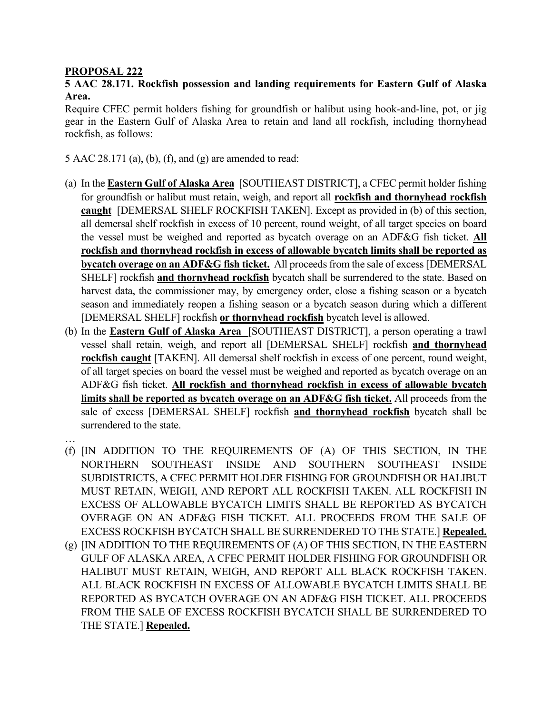## **PROPOSAL 222**

## **5 AAC 28.171. Rockfish possession and landing requirements for Eastern Gulf of Alaska Area.**

Require CFEC permit holders fishing for groundfish or halibut using hook-and-line, pot, or jig gear in the Eastern Gulf of Alaska Area to retain and land all rockfish, including thornyhead rockfish, as follows:

5 AAC 28.171 (a), (b), (f), and (g) are amended to read:

- (a) In the **Eastern Gulf of Alaska Area** [SOUTHEAST DISTRICT], a CFEC permit holder fishing for groundfish or halibut must retain, weigh, and report all **rockfish and thornyhead rockfish caught** [DEMERSAL SHELF ROCKFISH TAKEN]. Except as provided in (b) of this section, all demersal shelf rockfish in excess of 10 percent, round weight, of all target species on board the vessel must be weighed and reported as bycatch overage on an ADF&G fish ticket. **All rockfish and thornyhead rockfish in excess of allowable bycatch limits shall be reported as bycatch overage on an ADF&G fish ticket.** All proceeds from the sale of excess [DEMERSAL SHELF] rockfish **and thornyhead rockfish** bycatch shall be surrendered to the state. Based on harvest data, the commissioner may, by emergency order, close a fishing season or a bycatch season and immediately reopen a fishing season or a bycatch season during which a different [DEMERSAL SHELF] rockfish **or thornyhead rockfish** bycatch level is allowed.
- (b) In the **Eastern Gulf of Alaska Area** [SOUTHEAST DISTRICT], a person operating a trawl vessel shall retain, weigh, and report all [DEMERSAL SHELF] rockfish **and thornyhead rockfish caught** [TAKEN]. All demersal shelf rockfish in excess of one percent, round weight, of all target species on board the vessel must be weighed and reported as bycatch overage on an ADF&G fish ticket. **All rockfish and thornyhead rockfish in excess of allowable bycatch limits shall be reported as bycatch overage on an ADF&G fish ticket.** All proceeds from the sale of excess [DEMERSAL SHELF] rockfish **and thornyhead rockfish** bycatch shall be surrendered to the state.
- …
- (f) [IN ADDITION TO THE REQUIREMENTS OF (A) OF THIS SECTION, IN THE NORTHERN SOUTHEAST INSIDE AND SOUTHERN SOUTHEAST INSIDE SUBDISTRICTS, A CFEC PERMIT HOLDER FISHING FOR GROUNDFISH OR HALIBUT MUST RETAIN, WEIGH, AND REPORT ALL ROCKFISH TAKEN. ALL ROCKFISH IN EXCESS OF ALLOWABLE BYCATCH LIMITS SHALL BE REPORTED AS BYCATCH OVERAGE ON AN ADF&G FISH TICKET. ALL PROCEEDS FROM THE SALE OF EXCESS ROCKFISH BYCATCH SHALL BE SURRENDERED TO THE STATE.] **Repealed.**
- (g) [IN ADDITION TO THE REQUIREMENTS OF (A) OF THIS SECTION, IN THE EASTERN GULF OF ALASKA AREA, A CFEC PERMIT HOLDER FISHING FOR GROUNDFISH OR HALIBUT MUST RETAIN, WEIGH, AND REPORT ALL BLACK ROCKFISH TAKEN. ALL BLACK ROCKFISH IN EXCESS OF ALLOWABLE BYCATCH LIMITS SHALL BE REPORTED AS BYCATCH OVERAGE ON AN ADF&G FISH TICKET. ALL PROCEEDS FROM THE SALE OF EXCESS ROCKFISH BYCATCH SHALL BE SURRENDERED TO THE STATE.] **Repealed.**